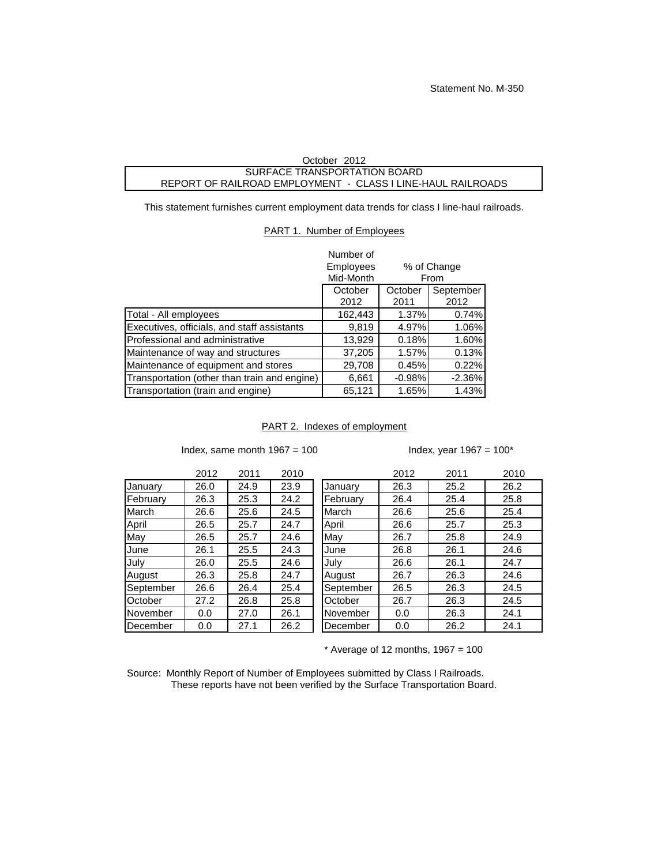## SURFACE TRANSPORTATION BOARD REPORT OF RAILROAD EMPLOYMENT - CLASS I LINE-HAUL RAILROADS October 2012

This statement furnishes current employment data trends for class I line-haul railroads.

## PART 1. Number of Employees

|                                              | Number of |             |           |  |
|----------------------------------------------|-----------|-------------|-----------|--|
|                                              | Employees | % of Change |           |  |
|                                              | Mid-Month | From        |           |  |
|                                              | October   | October     | September |  |
|                                              | 2012      | 2011        | 2012      |  |
| Total - All employees                        | 162,443   | 1.37%       | 0.74%     |  |
| Executives, officials, and staff assistants  | 9,819     | 4.97%       | 1.06%     |  |
| Professional and administrative              | 13,929    | 0.18%       | 1.60%     |  |
| Maintenance of way and structures            | 37,205    | 1.57%       | 0.13%     |  |
| Maintenance of equipment and stores          | 29,708    | 0.45%       | 0.22%     |  |
| Transportation (other than train and engine) | 6,661     | $-0.98%$    | $-2.36%$  |  |
| Transportation (train and engine)            | 65,121    | 1.65%       | 1.43%     |  |

## PART 2. Indexes of employment

Index, same month  $1967 = 100$  Index, year  $1967 = 100$ \*

| 2012 | 2011 | 2010 |           | 2012 | 2011 | 2010 |
|------|------|------|-----------|------|------|------|
| 26.0 | 24.9 | 23.9 | January   | 26.3 | 25.2 | 26.2 |
| 26.3 | 25.3 | 24.2 | February  | 26.4 | 25.4 | 25.8 |
| 26.6 | 25.6 | 24.5 | March     | 26.6 | 25.6 | 25.4 |
| 26.5 | 25.7 | 24.7 | April     | 26.6 | 25.7 | 25.3 |
| 26.5 | 25.7 | 24.6 | May       | 26.7 | 25.8 | 24.9 |
| 26.1 | 25.5 | 24.3 | June      | 26.8 | 26.1 | 24.6 |
| 26.0 | 25.5 | 24.6 | July      | 26.6 | 26.1 | 24.7 |
| 26.3 | 25.8 | 24.7 | August    | 26.7 | 26.3 | 24.6 |
| 26.6 | 26.4 | 25.4 | September | 26.5 | 26.3 | 24.5 |
| 27.2 | 26.8 | 25.8 | October   | 26.7 | 26.3 | 24.5 |
| 0.0  | 27.0 | 26.1 | November  | 0.0  | 26.3 | 24.1 |
| 0.0  | 27.1 | 26.2 | December  | 0.0  | 26.2 | 24.1 |
|      |      |      |           |      |      |      |

 $*$  Average of 12 months, 1967 = 100

Source: Monthly Report of Number of Employees submitted by Class I Railroads. These reports have not been verified by the Surface Transportation Board.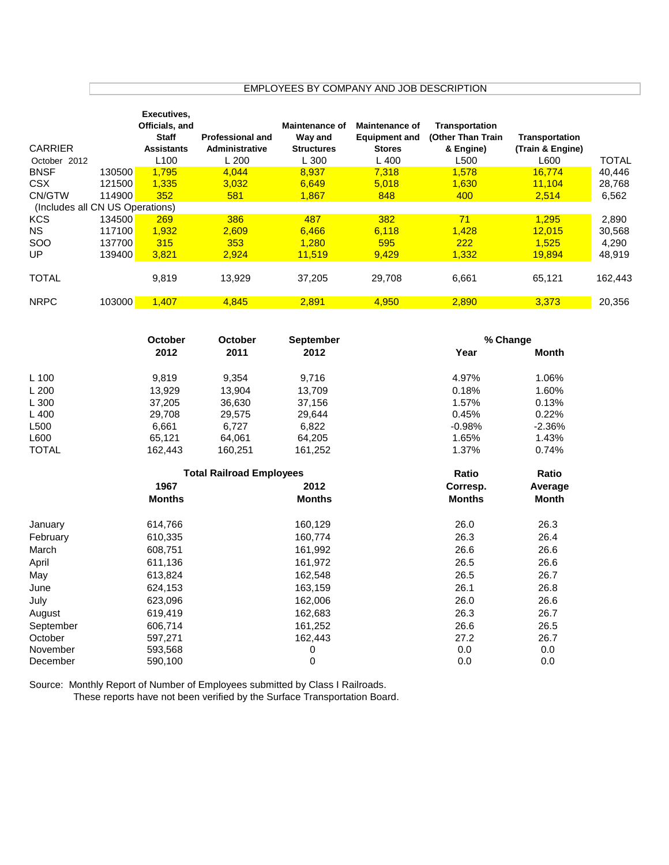## EMPLOYEES BY COMPANY AND JOB DESCRIPTION

|                                 |        | Executives,      |                         |                       |                       |                       |                       |              |
|---------------------------------|--------|------------------|-------------------------|-----------------------|-----------------------|-----------------------|-----------------------|--------------|
|                                 |        | Officials, and   |                         | <b>Maintenance of</b> | <b>Maintenance of</b> | <b>Transportation</b> |                       |              |
|                                 |        | <b>Staff</b>     | <b>Professional and</b> | Way and               | <b>Equipment and</b>  | (Other Than Train     | <b>Transportation</b> |              |
| <b>CARRIER</b>                  |        | Assistants       | Administrative          | <b>Structures</b>     | <b>Stores</b>         | & Engine)             | (Train & Engine)      |              |
| October<br>2012                 |        | L <sub>100</sub> | L 200                   | L 300                 | $L$ 400               | L500                  | L600                  | <b>TOTAL</b> |
| <b>BNSF</b>                     | 130500 | 1,795            | 4.044                   | 8,937                 | 7.318                 | 1.578                 | 16.774                | 40,446       |
| <b>CSX</b>                      | 121500 | 1,335            | 3.032                   | 6,649                 | 5,018                 | 1,630                 | 11.104                | 28,768       |
| CN/GTW                          | 114900 | 352              | 581                     | 1,867                 | 848                   | 400                   | 2,514                 | 6,562        |
| (Includes all CN US Operations) |        |                  |                         |                       |                       |                       |                       |              |
| <b>KCS</b>                      | 134500 | 269              | 386                     | 487                   | 382                   | 71                    | 1.295                 | 2,890        |
| NS.                             | 117100 | 1,932            | 2.609                   | 6,466                 | 6.118                 | 1,428                 | 12.015                | 30,568       |
| SOO                             | 137700 | 315              | 353                     | 1,280                 | 595                   | 222                   | 1.525                 | 4,290        |
| UP                              | 139400 | 3,821            | 2.924                   | 11,519                | 9,429                 | 1,332                 | 19,894                | 48,919       |
|                                 |        |                  |                         |                       |                       |                       |                       |              |
| <b>TOTAL</b>                    |        | 9,819            | 13.929                  | 37,205                | 29,708                | 6,661                 | 65,121                | 162,443      |
|                                 |        |                  |                         |                       |                       |                       |                       |              |
| <b>NRPC</b>                     | 103000 | 1,407            | 4.845                   | 2,891                 | 4,950                 | 2,890                 | 3.373                 | 20,356       |
|                                 |        |                  |                         |                       |                       |                       |                       |              |

|           | October       | <b>October</b>                  | <b>September</b> |               | % Change     |
|-----------|---------------|---------------------------------|------------------|---------------|--------------|
|           | 2012          | 2011                            | 2012             | Year          | <b>Month</b> |
| $L$ 100   | 9,819         | 9,354                           | 9,716            | 4.97%         | 1.06%        |
| L200      | 13,929        | 13,904                          | 13,709           | 0.18%         | 1.60%        |
| L 300     | 37,205        | 36,630                          | 37,156           | 1.57%         | 0.13%        |
| $L$ 400   | 29,708        | 29,575                          | 29,644           | 0.45%         | 0.22%        |
| L500      | 6,661         | 6,727                           | 6,822            | $-0.98%$      | $-2.36%$     |
| L600      | 65,121        | 64,061                          | 64,205           | 1.65%         | 1.43%        |
| TOTAL     | 162,443       | 160,251                         | 161,252          | 1.37%         | 0.74%        |
|           |               | <b>Total Railroad Employees</b> | Ratio            | Ratio         |              |
| 1967      |               |                                 | 2012             | Corresp.      | Average      |
|           | <b>Months</b> |                                 | <b>Months</b>    | <b>Months</b> | <b>Month</b> |
| January   | 614,766       |                                 | 160,129          | 26.0          | 26.3         |
| February  | 610,335       |                                 | 160,774          | 26.3          | 26.4         |
| March     | 608,751       |                                 | 161,992          | 26.6          | 26.6         |
| April     | 611,136       |                                 | 161,972          | 26.5          | 26.6         |
| May       | 613,824       |                                 | 162,548          | 26.5          | 26.7         |
| June      | 624,153       |                                 | 163,159          | 26.1          | 26.8         |
| July      | 623,096       |                                 | 162,006          | 26.0          | 26.6         |
| August    | 619,419       |                                 | 162,683          | 26.3          | 26.7         |
| September | 606,714       |                                 | 161,252          | 26.6          | 26.5         |
| October   | 597,271       |                                 | 162,443          | 27.2          | 26.7         |
| November  | 593,568       |                                 | 0                | 0.0           | 0.0          |

December 590,100 0 0.0 0.0

Source: Monthly Report of Number of Employees submitted by Class I Railroads.

These reports have not been verified by the Surface Transportation Board.